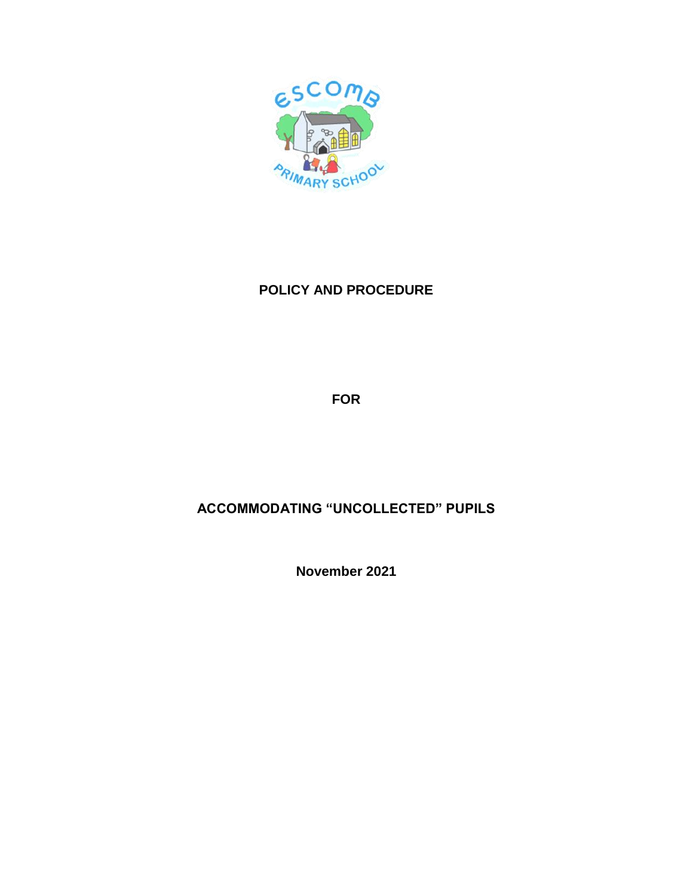

## **POLICY AND PROCEDURE**

**FOR**

## **ACCOMMODATING "UNCOLLECTED" PUPILS**

**November 2021**